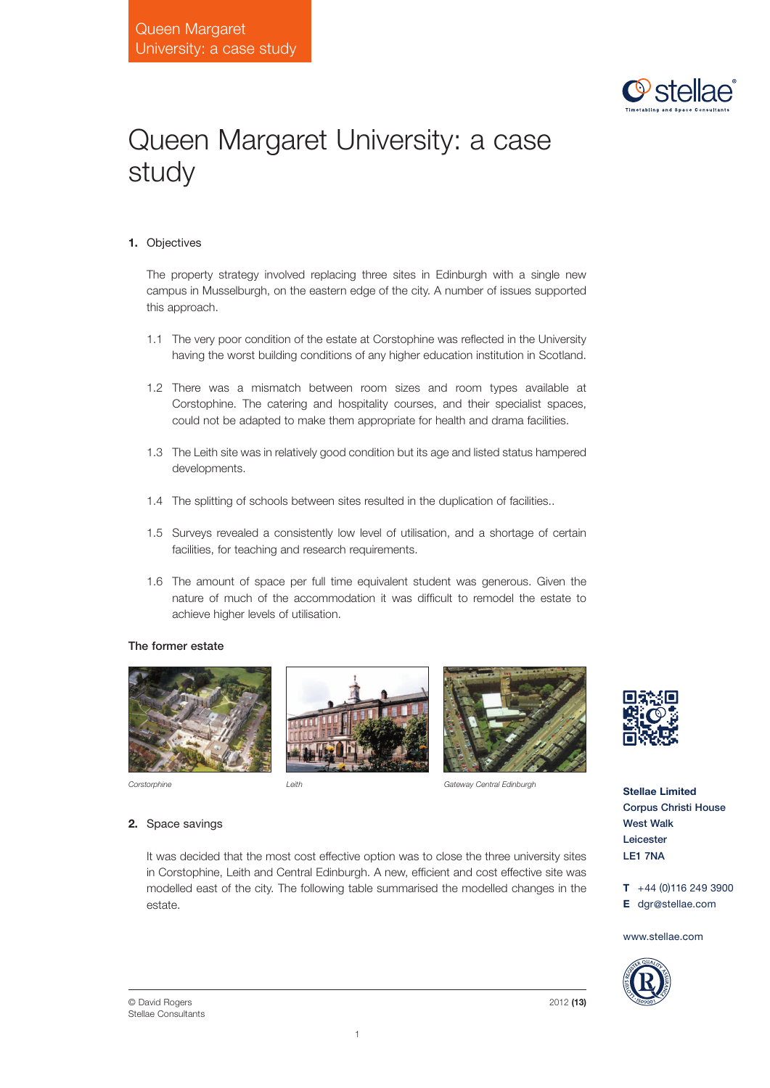

# Queen Margaret University: a case study

## **1.** Objectives

The property strategy involved replacing three sites in Edinburgh with a single new campus in Musselburgh, on the eastern edge of the city. A number of issues supported this approach.

- 1.1 The very poor condition of the estate at Corstophine was reflected in the University having the worst building conditions of any higher education institution in Scotland.
- 1.2 There was a mismatch between room sizes and room types available at Corstophine. The catering and hospitality courses, and their specialist spaces, could not be adapted to make them appropriate for health and drama facilities.
- 1.3 The Leith site was in relatively good condition but its age and listed status hampered developments.
- 1.4 The splitting of schools between sites resulted in the duplication of facilities..
- 1.5 Surveys revealed a consistently low level of utilisation, and a shortage of certain facilities, for teaching and research requirements.
- 1.6 The amount of space per full time equivalent student was generous. Given the nature of much of the accommodation it was difficult to remodel the estate to achieve higher levels of utilisation.

## The former estate



**2.** Space savings





*Corstorphine Leith Gateway Central Edinburgh*



**Stellae Limited** Corpus Christi House West Walk Leicester LE1 7NA

**T** +44 (0)116 249 3900 **E** dgr@stellae.com

www.stellae.com



© David Rogers Stellae Consultants

estate.

It was decided that the most cost effective option was to close the three university sites

1





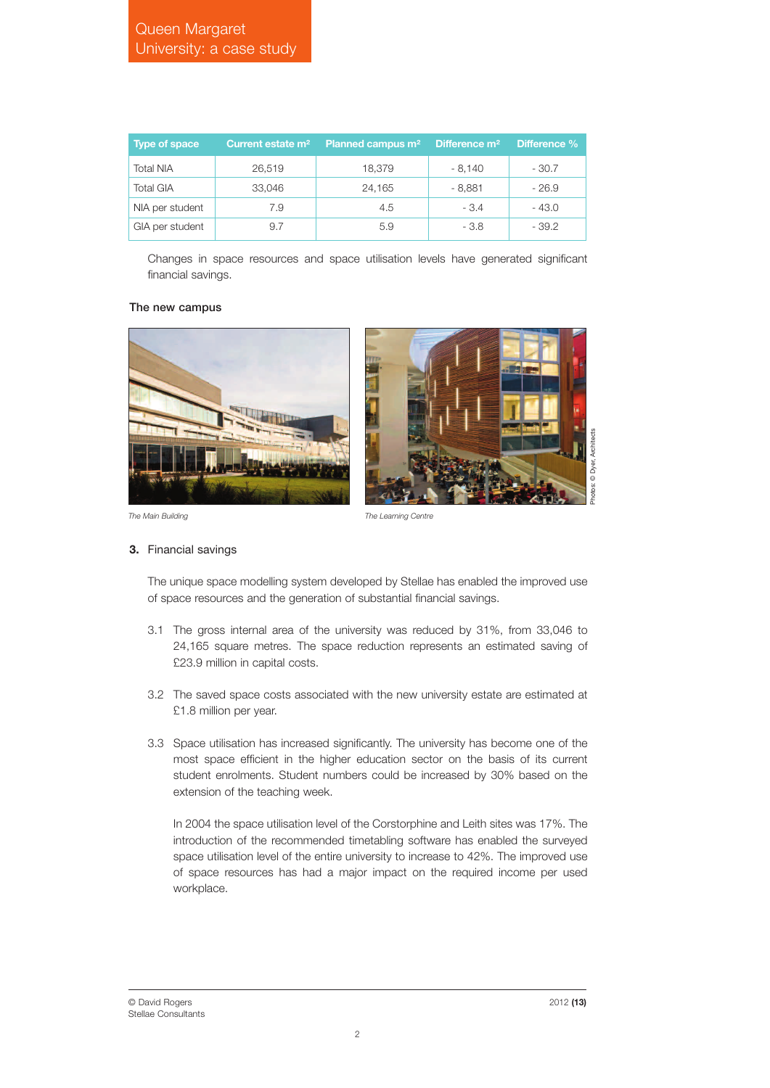| <b>Type of space</b> | Current estate m <sup>2</sup> | Planned campus m <sup>2</sup> | Difference m <sup>2</sup> | Difference % |
|----------------------|-------------------------------|-------------------------------|---------------------------|--------------|
| <b>Total NIA</b>     | 26,519                        | 18.379                        | $-8.140$                  | $-30.7$      |
| <b>Total GIA</b>     | 33.046                        | 24,165                        | $-8.881$                  | $-26.9$      |
| NIA per student      | 7.9                           | 4.5                           | $-3.4$                    | - 43.0       |
| GIA per student      | 9.7                           | 5.9                           | - 3.8                     | $-39.2$      |

Changes in space resources and space utilisation levels have generated significant financial savings.

#### The new campus



*The Main Building The Learning Centre*

#### **3.** Financial savings

The unique space modelling system developed by Stellae has enabled the improved use of space resources and the generation of substantial financial savings.

- 3.1 The gross internal area of the university was reduced by 31%, from 33,046 to 24,165 square metres. The space reduction represents an estimated saving of £23.9 million in capital costs.
- 3.2 The saved space costs associated with the new university estate are estimated at £1.8 million per year.
- 3.3 Space utilisation has increased significantly. The university has become one of the most space efficient in the higher education sector on the basis of its current student enrolments. Student numbers could be increased by 30% based on the extension of the teaching week.

In 2004 the space utilisation level of the Corstorphine and Leith sites was 17%. The introduction of the recommended timetabling software has enabled the surveyed space utilisation level of the entire university to increase to 42%. The improved use of space resources has had a major impact on the required income per used workplace.